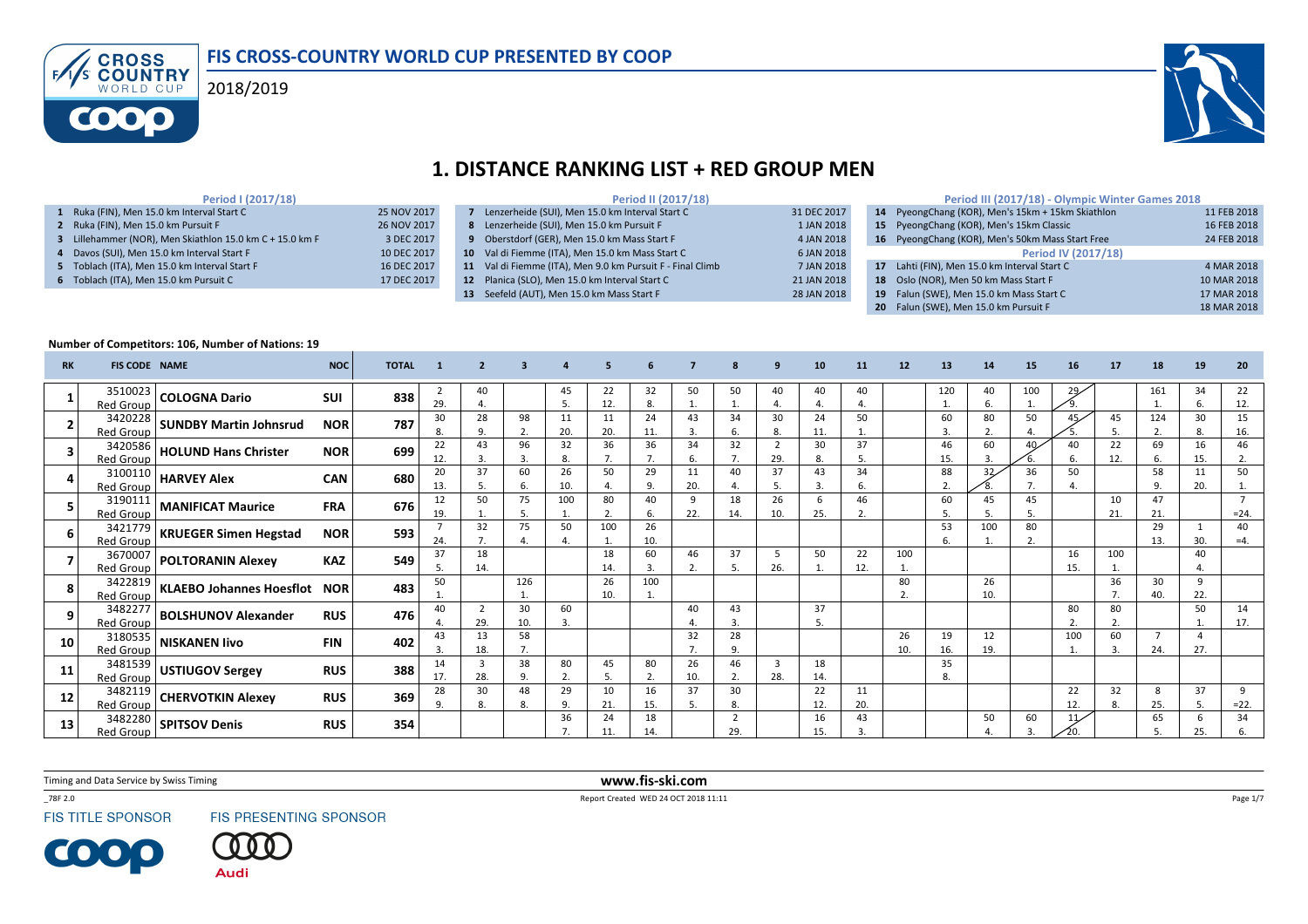



# 1. DISTANCE RANKING LIST + RED GROUP MEN

#### Period I (2017/18)

|  | 1 Ruka (FIN). Men 15.0 km Interval Start C               | 25 NOV 2017 |
|--|----------------------------------------------------------|-------------|
|  | 2 Ruka (FIN). Men 15.0 km Pursuit F                      | 26 NOV 2017 |
|  | 3 Lillehammer (NOR), Men Skiathlon 15.0 km C + 15.0 km F | 3 DEC 2017  |
|  | 4 Davos (SUI), Men 15.0 km Interval Start F              | 10 DEC 2017 |
|  | 5 Toblach (ITA), Men 15.0 km Interval Start F            | 16 DEC 2017 |
|  | 6 Toblach (ITA), Men 15.0 km Pursuit C                   | 17 DEC 2017 |
|  |                                                          |             |

|                 | Period II (2017/18)                                        |             |
|-----------------|------------------------------------------------------------|-------------|
|                 | Lenzerheide (SUI), Men 15.0 km Interval Start C            | 31 DEC 2017 |
| 8               | Lenzerheide (SUI), Men 15.0 km Pursuit F                   | 1 JAN 2018  |
| 9               | Oberstdorf (GER), Men 15.0 km Mass Start F                 | 4 JAN 2018  |
|                 | 10 Val di Fiemme (ITA), Men 15.0 km Mass Start C           | 6 JAN 2018  |
|                 | 11 Val di Fiemme (ITA), Men 9.0 km Pursuit F - Final Climb | 7 JAN 2018  |
| 12 <sup>2</sup> | Planica (SLO), Men 15.0 km Interval Start C                | 21 JAN 2018 |
| 13              | Seefeld (AUT), Men 15.0 km Mass Start F                    | 28 JAN 2018 |
|                 |                                                            |             |

|                  | Period III (2017/18) - Olympic Winter Games 2018 |             |
|------------------|--------------------------------------------------|-------------|
| 14 <sup>14</sup> | PyeongChang (KOR), Men's 15km + 15km Skiathlon   | 11 FEB 2018 |
| 15               | PyeongChang (KOR), Men's 15km Classic            | 16 FEB 2018 |
| 16 <sup>7</sup>  | PyeongChang (KOR), Men's 50km Mass Start Free    | 24 FEB 2018 |
|                  | <b>Period IV (2017/18)</b>                       |             |
| 17               | Lahti (FIN), Men 15.0 km Interval Start C        | 4 MAR 2018  |
| 18               | Oslo (NOR), Men 50 km Mass Start F               | 10 MAR 2018 |
| 19               | Falun (SWE), Men 15.0 km Mass Start C            | 17 MAR 2018 |
| 20               | Falun (SWE), Men 15.0 km Pursuit F               | 18 MAR 2018 |

#### Number of Competitors: 106, Number of Nations: 19

| <b>RK</b> | <b>FIS CODE NAME</b> |                                                    | <b>NOC</b> | <b>TOTAL</b> |           |           |                     |           |           |           |           |                       |                       |           |           |                      |           |           | 15       |           |           |                       |           | 20           |
|-----------|----------------------|----------------------------------------------------|------------|--------------|-----------|-----------|---------------------|-----------|-----------|-----------|-----------|-----------------------|-----------------------|-----------|-----------|----------------------|-----------|-----------|----------|-----------|-----------|-----------------------|-----------|--------------|
|           | Red Group            | $3510023$ COLOGNA Dario                            | <b>SUI</b> | 838          | 29.       | 40        |                     | 45        | 22<br>12  | 32<br>-8. | 50        | 50                    | 40                    | 40        | 40<br>4   |                      | 120       | 40<br>6.  | 100      | 29        |           | 161                   | 34        | 22<br>12.    |
|           | <b>Red Group</b>     |                                                    | <b>NOR</b> | 787          | 30        | 28<br>9.  | 98<br>$\mathcal{L}$ | 11<br>20. | 11<br>20. | 24<br>11. | 43<br>3.  | 34                    | 30<br>8.              | 24<br>11. | 50        |                      | 60<br>3.  | 80<br>z.  | 50       |           |           | 124<br>2.             | 30        | 15<br>16.    |
|           | Red Group            | $\frac{3420586}{100000}$ HOLUND Hans Christer      | <b>NOR</b> | 699          | 22<br>12. | 43        | 96<br>3             | 32<br>8.  | 36        | 36<br>7.  | 34<br>6.  | 32<br>7.              | $\overline{2}$<br>29. | 30<br>8.  | 37<br>5.  |                      | 46<br>15. | 60<br>3.  | 40       | 40<br>6.  | 22<br>12. | 69<br>6.              | 16<br>15. | 46<br>2.     |
|           | Red Group            | $\frac{3100110}{2}$ HARVEY Alex                    | <b>CAN</b> | 680          | 20<br>13. | 37        | 60<br>6.            | 26<br>10. | 50        | 29<br>9.  | 11<br>20. | 40                    | 37<br>5.              | 43<br>3.  | 34<br>6.  |                      | 88<br>2.  | 32        | 36       | 50        |           | 58<br>9.              | 11<br>20. | 50           |
|           | <b>Red Group</b>     | $\frac{3190111}{2}$ MANIFICAT Maurice              | <b>FRA</b> | 676          | 12<br>19. | 50        | 75<br>.5            | 100       | 80        | 40<br>6.  | 9<br>22.  | 18<br>14.             | 26<br>10.             | 25.       | 46<br>2.  |                      | 60        | 45<br>o.  | 45<br>5. |           | 10<br>21. | 47<br>21.             |           | $= 24.$      |
|           | Red Group            |                                                    | <b>NOR</b> | 593          | 24.       | 32<br>7.  | 75                  | 50        | 100       | 26<br>10. |           |                       |                       |           |           |                      | 53<br>6.  | 100       | 80<br>2. |           |           | 29<br>13.             | 30.       | 40<br>$=4$ . |
|           | Red Group            | 3670007 POLTORANIN Alexey                          | <b>KAZ</b> | 549          | 37<br>5.  | 18<br>14. |                     |           | 18<br>14  | 60<br>3.  | 46        | 37                    | 5<br>26.              | 50        | 22<br>12. | 100                  |           |           |          | 16<br>15. | 100       |                       | 40        |              |
| 8         | Red Group            | $\frac{3422819}{160}$ KLAEBO Johannes Hoesflot NOR |            | 483          | 50        |           | 126                 |           | 26<br>10. | 100       |           |                       |                       |           |           | 80<br>$\overline{2}$ |           | 26<br>10. |          |           | 36        | 30<br>40.             | q<br>22.  |              |
| 9         | Red Group            |                                                    | <b>RUS</b> | 476          | 40        | 29.       | 30<br>10.           | 60<br>3.  |           |           | 40        | 43<br>3.              |                       | 37<br>5.  |           |                      |           |           |          | 80        | 80        |                       | 50        | 14<br>17.    |
| 10        | 3180535<br>Red Group | <b>NISKANEN livo</b>                               | <b>FIN</b> | 402          | 43<br>3.  | 13<br>18. | 58<br>7.            |           |           |           | 32        | 28<br>9.              |                       |           |           | 26<br>10.            | 19<br>16. | 12<br>19. |          | 100       | 60<br>3.  | $\overline{7}$<br>24. | 27.       |              |
| 11        | Red Group            | $\frac{3481539}{2}$ USTIUGOV Sergey                | <b>RUS</b> | 388          | 14<br>17. | 28.       | 38<br>9             | 80<br>2.  | 45        | 80<br>2.  | 26<br>10. | 46<br>2.              | $\overline{3}$<br>28. | 18<br>14. |           |                      | 35<br>8.  |           |          |           |           |                       |           |              |
| 12        | Red Group            | $\frac{1}{3482119}$ CHERVOTKIN Alexey              | <b>RUS</b> | 369          | 28<br>9   | 30<br>8.  | 48<br>8             | 29<br>9.  | 10<br>21. | 16<br>15. | 37<br>.5  | 30<br>8.              |                       | 22<br>12. | 11<br>20. |                      |           |           |          | 22<br>12. | 32<br>8.  | 8<br>25.              | 37        | 9<br>$=22.$  |
| 13        | Red Group            | $\overline{\frac{3482280}{}}$ SPITSOV Denis        | <b>RUS</b> | 354          |           |           |                     | 36        | 24        | 18<br>14. |           | $\overline{2}$<br>29. |                       | 16<br>15. | 43<br>3   |                      |           | 50        | 60       |           |           | 65                    | b         | 34           |

Timing and Data Service by Swiss Timing

\_78F 2.0

**FIS TITLE SPONSOR** 

00

FIS PRESENTING SPONSOR

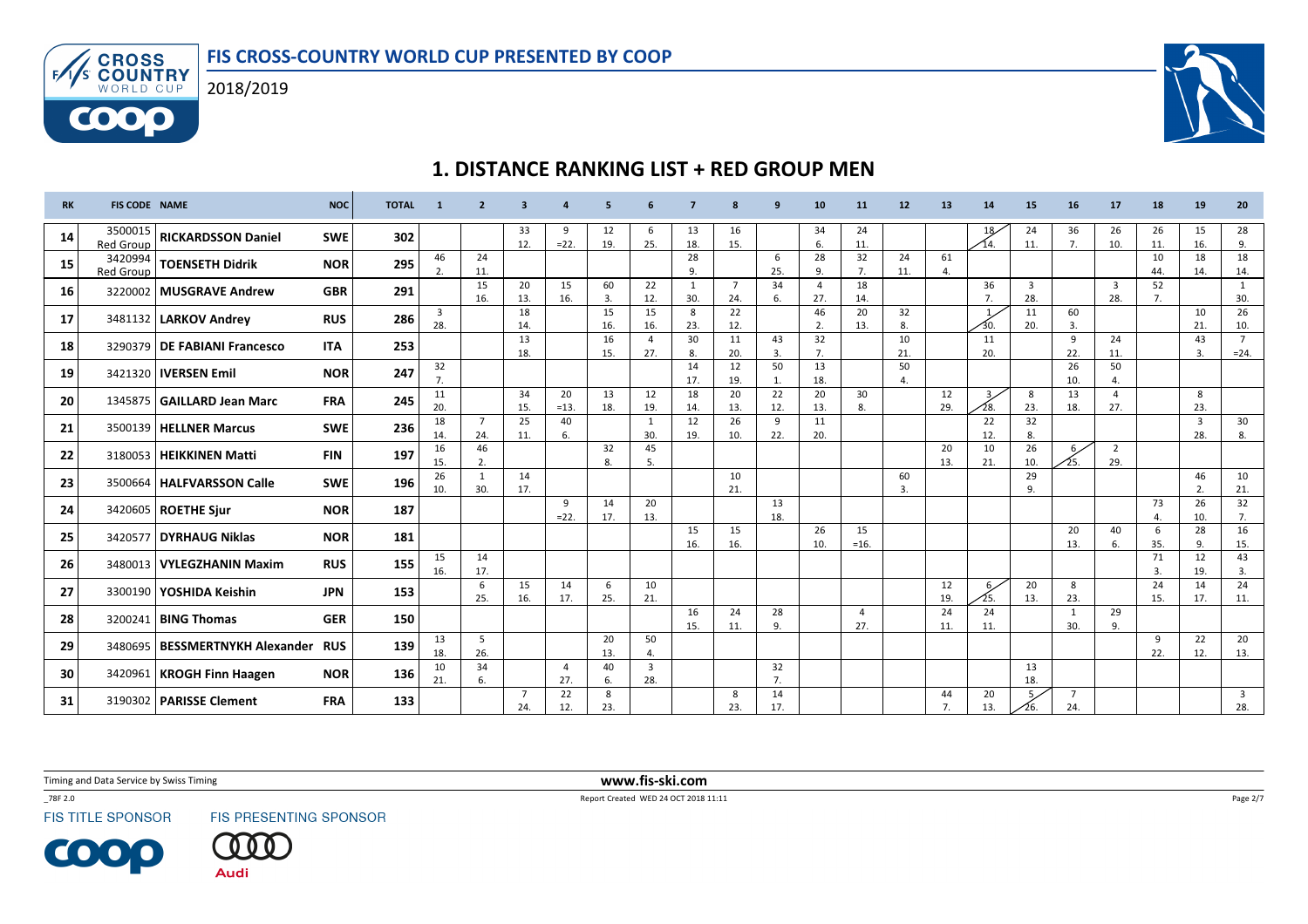

ENS CROSS WORLD CUP

6000



# 1. DISTANCE RANKING LIST + RED GROUP MEN

| <b>RK</b> | <b>FIS CODE NAME</b>        |                                      | <b>NOC</b> | <b>TOTAL</b> |                      | $\overline{\phantom{a}}$ | $\overline{\mathbf{3}}$ |                  | $\overline{\phantom{a}}$ |                       |           |                       | a               | 10                    | 11                    | 12                   | 13                   | 14                    | 15                    | 16                    | 17                             | 18        | 19                    | 20                     |
|-----------|-----------------------------|--------------------------------------|------------|--------------|----------------------|--------------------------|-------------------------|------------------|--------------------------|-----------------------|-----------|-----------------------|-----------------|-----------------------|-----------------------|----------------------|----------------------|-----------------------|-----------------------|-----------------------|--------------------------------|-----------|-----------------------|------------------------|
| 14        | 3500015<br><b>Red Group</b> | <b>RICKARDSSON Daniel</b>            | <b>SWE</b> | 302          |                      |                          | 33<br>12.               | 9<br>$=22.$      | 12<br>19.                | 6<br>25.              | 13<br>18. | 16<br>15.             |                 | 34<br>6.              | 24<br>11.             |                      |                      | 18<br>14.             | 24<br>11.             | 36<br>7.              | 26<br>10.                      | 26<br>11. | 15<br>16.             | 28<br>9.               |
| 15        | 3420994<br>Red Group        | <b>TOENSETH Didrik</b>               | <b>NOR</b> | 295          | 46<br>$\overline{2}$ | 24<br>11.                |                         |                  |                          |                       | 28<br>9.  |                       | 6<br>25.        | 28<br>9.              | 32<br>7.              | 24<br>11.            | 61<br>$\overline{4}$ |                       |                       |                       |                                | 10<br>44. | 18<br>14.             | 18<br>14.              |
| 16        |                             | 3220002   MUSGRAVE Andrew            | <b>GBR</b> | 291          |                      | 15<br>16.                | 20<br>13.               | 15<br>16.        | 60<br>3.                 | 22<br>12.             | 1<br>30.  | $\overline{7}$<br>24. | 34<br>6.        | $\overline{4}$<br>27. | 18<br>14.             |                      |                      | 36<br>7.              | 3<br>28.              |                       | $\overline{\mathbf{3}}$<br>28. | 52<br>7.  |                       | 1<br>30.               |
| 17        |                             | 3481132   LARKOV Andrey              | <b>RUS</b> | 286          | 3<br>28.             |                          | 18<br>14.               |                  | 15<br>16.                | 15<br>16.             | 8<br>23.  | 22<br>12.             |                 | 46<br>2.              | 20<br>13.             | 32<br>8.             |                      |                       | 11<br>20.             | 60<br>3.              |                                |           | 10<br>21.             | 26<br>10.              |
| 18        |                             | 3290379   DE FABIANI Francesco       | <b>ITA</b> | 253          |                      |                          | 13<br>18.               |                  | 16<br>15.                | $\overline{4}$<br>27. | 30<br>8.  | 11<br>20.             | 43<br>3.        | 32<br>7.              |                       | 10<br>21.            |                      | 11<br>20.             |                       | 9<br>22.              | 24<br>11.                      |           | 43<br>$\overline{3}$  | $7^{\circ}$<br>$= 24.$ |
| 19        |                             | 3421320   IVERSEN Emil               | <b>NOR</b> | 247          | 32<br>7.             |                          |                         |                  |                          |                       | 14<br>17. | 12<br>19.             | 50<br>1.        | 13<br>18.             |                       | 50<br>$\overline{4}$ |                      |                       |                       | 26<br>10.             | 50<br>4.                       |           |                       |                        |
| 20        |                             | 1345875 GAILLARD Jean Marc           | <b>FRA</b> | 245          | 11<br>20.            |                          | 34<br>15.               | 20<br>$=13.$     | 13<br>18.                | 12<br>19.             | 18<br>14. | 20<br>13.             | 22<br>12.       | 20<br>13.             | 30<br>8.              |                      | 12<br>29.            | 3 <sub>7</sub><br>28. | 8<br>23.              | 13<br>18.             | $\overline{4}$<br>27.          |           | 8<br>23.              |                        |
| 21        |                             | 3500139   HELLNER Marcus             | <b>SWE</b> | 236          | 18<br>14.            | $\overline{7}$<br>24.    | 25<br>11.               | 40<br>6.         |                          | 1<br>30.              | 12<br>19. | 26<br>10.             | 9<br>22.        | 11<br>20.             |                       |                      |                      | 22<br>12.             | 32<br>8.              |                       |                                |           | $\overline{3}$<br>28. | 30<br>8.               |
| 22        |                             | 3180053   HEIKKINEN Matti            | <b>FIN</b> | 197          | 16<br>15.            | 46<br>2.                 |                         |                  | 32<br>8.                 | 45<br>5.              |           |                       |                 |                       |                       |                      | 20<br>13.            | 10<br>21.             | 26<br>10.             | $6\,$<br>25.          | $\overline{2}$<br>29.          |           |                       |                        |
| 23        |                             | 3500664   HALFVARSSON Calle          | <b>SWE</b> | 196          | 26<br>10.            | 1<br>30.                 | 14<br>17.               |                  |                          |                       |           | 10<br>21.             |                 |                       |                       | 60<br>$\overline{3}$ |                      |                       | 29<br>9.              |                       |                                |           | 46<br>$\overline{2}$  | 10<br>21.              |
| 24        |                             | 3420605   ROETHE Sjur                | <b>NOR</b> | 187          |                      |                          |                         | 9<br>$=22.$      | 14<br>17.                | 20<br>13.             |           |                       | 13<br>18.       |                       |                       |                      |                      |                       |                       |                       |                                | 73<br>4.  | 26<br>10.             | 32<br>7.               |
| 25        |                             | 3420577 DYRHAUG Niklas               | <b>NOR</b> | 181          |                      |                          |                         |                  |                          |                       | 15<br>16. | 15<br>16.             |                 | 26<br>10.             | 15<br>$=16.$          |                      |                      |                       |                       | 20<br>13.             | 40<br>6.                       | 6<br>35.  | 28<br>9               | 16<br>15.              |
| 26        |                             | 3480013 VYLEGZHANIN Maxim            | <b>RUS</b> | 155          | 15<br>16.            | 14<br>17.                |                         |                  |                          |                       |           |                       |                 |                       |                       |                      |                      |                       |                       |                       |                                | 71<br>3.  | 12<br>19.             | 43<br>3.               |
| 27        |                             | 3300190   YOSHIDA Keishin            | <b>JPN</b> | 153          |                      | 6<br>25.                 | 15<br>16.               | 14<br>17.        | $\mathsf{6}$<br>25.      | 10<br>21.             |           |                       |                 |                       |                       |                      | 12<br>19.            | $6\overline{ }$       | 20<br>13.             | 8<br>23.              |                                | 24<br>15. | 14<br>17.             | 24<br>11.              |
| 28        |                             | 3200241   <b>BING Thomas</b>         | <b>GER</b> | 150          |                      |                          |                         |                  |                          |                       | 16<br>15. | 24<br>11.             | 28<br>9.        |                       | $\overline{4}$<br>27. |                      | 24<br>11.            | 24<br>11.             |                       | $\mathbf{1}$<br>30.   | 29<br>9.                       |           |                       |                        |
| 29        |                             | 3480695   BESSMERTNYKH Alexander RUS |            | 139          | 13<br>18.            | 5<br>26.                 |                         |                  | 20<br>13.                | 50<br>4.              |           |                       |                 |                       |                       |                      |                      |                       |                       |                       |                                | 9<br>22.  | 22<br>12.             | 20<br>13.              |
| 30        |                             | 3420961   KROGH Finn Haagen          | <b>NOR</b> | 136          | 10<br>21.            | 34                       |                         | $\overline{a}$   | 40                       | $\overline{3}$        |           |                       | 32              |                       |                       |                      |                      |                       | 13                    |                       |                                |           |                       |                        |
| 31        |                             | 3190302   PARISSE Clement            | <b>FRA</b> | 133          |                      | 6.                       | $\overline{7}$<br>24.   | 27.<br>22<br>12. | 6.<br>8<br>23.           | 28.                   |           | 8<br>23.              | 7.<br>14<br>17. |                       |                       |                      | 44<br>7.             | 20<br>13              | 18.<br>5 <sub>2</sub> | $\overline{7}$<br>24. |                                |           |                       | $\overline{3}$<br>28.  |

Timing and Data Service by Swiss Timing

\_78F 2.0

**FIS TITLE SPONSOR** 

**COOP** 

FIS PRESENTING SPONSOR

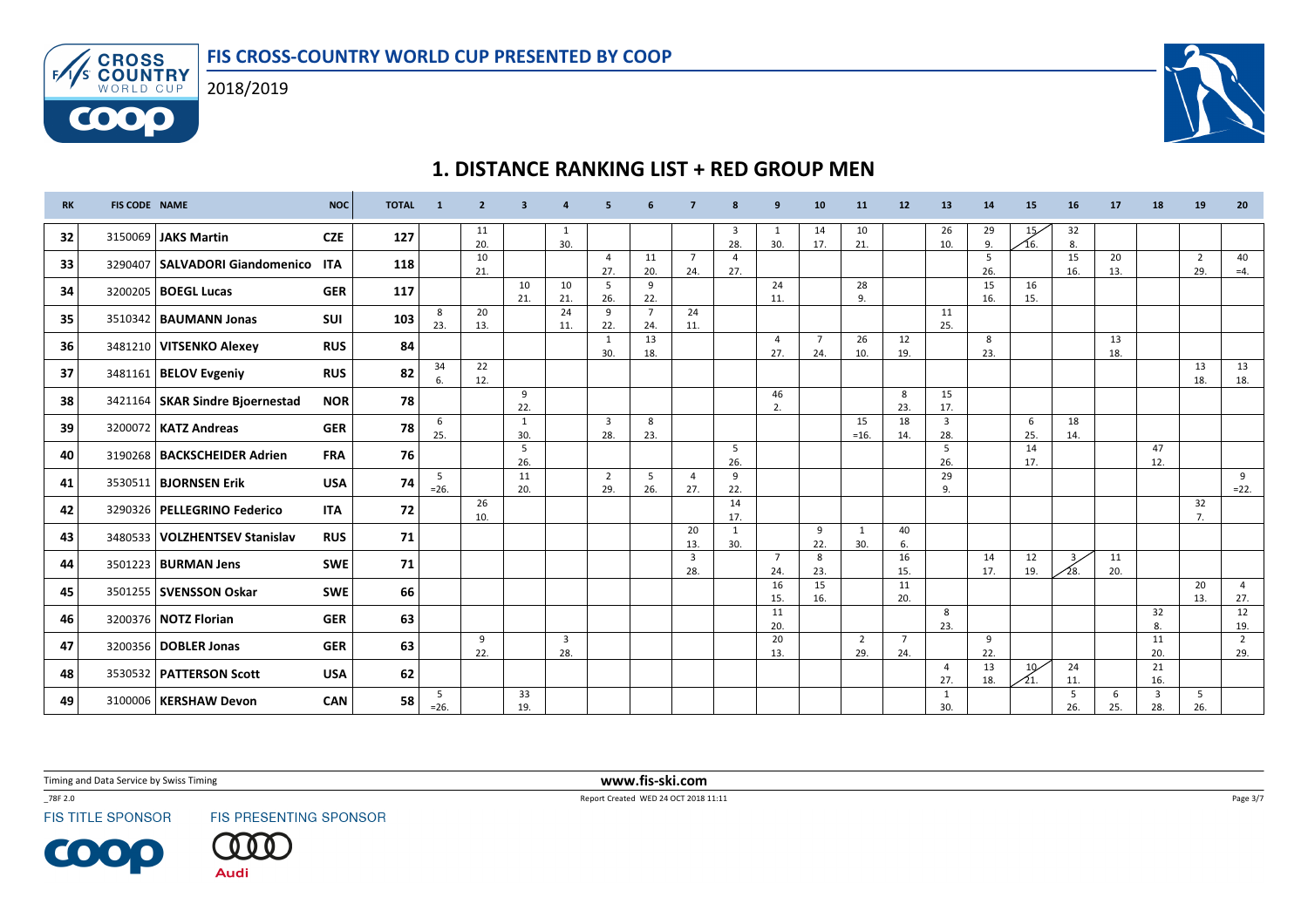

WORLD CUP

6000



# 1. DISTANCE RANKING LIST + RED GROUP MEN

| <b>RK</b> | <b>FIS CODE NAME</b> |                                      | <b>NOC</b> | <b>TOTAL</b> | $\overline{1}$ | $\overline{2}$ | 3                   |                       | 5                              |                       |                                | 8                     | $\mathbf{q}$          | 10                    | 11                    | 12                    | 13                    | 14        | 15                     | 16         | 17        | 18        | 19                    | 20                    |
|-----------|----------------------|--------------------------------------|------------|--------------|----------------|----------------|---------------------|-----------------------|--------------------------------|-----------------------|--------------------------------|-----------------------|-----------------------|-----------------------|-----------------------|-----------------------|-----------------------|-----------|------------------------|------------|-----------|-----------|-----------------------|-----------------------|
| 32        |                      | 3150069 JAKS Martin                  | <b>CZE</b> | 127          |                | 11<br>20.      |                     | 30.                   |                                |                       |                                | 3<br>28.              | 30.                   | 14<br>17.             | 10<br>21.             |                       | 26<br>10.             | 29<br>9.  | 15<br>⁄16.             | 32<br>8.   |           |           |                       |                       |
| 33        |                      | 3290407   SALVADORI Giandomenico ITA |            | 118          |                | 10<br>21.      |                     |                       | $\overline{4}$<br>27.          | 11<br>20.             | $\overline{7}$<br>24.          | $\overline{a}$<br>27. |                       |                       |                       |                       |                       | 5<br>26.  |                        | 15<br>16.  | 20<br>13. |           | $\overline{2}$<br>29. | 40<br>$=4.$           |
| 34        |                      | 3200205   <b>BOEGL Lucas</b>         | <b>GER</b> | 117          |                |                | 10<br>21.           | 10<br>21.             | 5<br>26.                       | 9<br>22.              |                                |                       | 24<br>11.             |                       | 28<br>9.              |                       |                       | 15<br>16. | 16<br>15.              |            |           |           |                       |                       |
| 35        |                      | 3510342   <b>BAUMANN Jonas</b>       | <b>SUI</b> | 103          | 8<br>23.       | 20<br>13.      |                     | 24<br>11.             | 9<br>22.                       | $\overline{7}$<br>24. | 24<br>11.                      |                       |                       |                       |                       |                       | 11<br>25.             |           |                        |            |           |           |                       |                       |
| 36        |                      | 3481210 VITSENKO Alexey              | <b>RUS</b> | 84           |                |                |                     |                       | $\overline{1}$<br>30.          | 13<br>18.             |                                |                       | $\overline{4}$<br>27. | $\overline{7}$<br>24. | 26<br>10.             | 12<br>19.             |                       | 8<br>23.  |                        |            | 13<br>18. |           |                       |                       |
| 37        |                      | 3481161   BELOV Evgeniy              | <b>RUS</b> | 82           | 34<br>6.       | 22<br>12.      |                     |                       |                                |                       |                                |                       |                       |                       |                       |                       |                       |           |                        |            |           |           | 13<br>18.             | 13<br>18.             |
| 38        |                      | 3421164 SKAR Sindre Bjoernestad      | <b>NOR</b> | 78           |                |                | 9<br>22.            |                       |                                |                       |                                |                       | 46<br>2.              |                       |                       | 8<br>23.              | 15<br>17.             |           |                        |            |           |           |                       |                       |
| 39        |                      | 3200072   KATZ Andreas               | <b>GER</b> | 78           | 6<br>25.       |                | $\mathbf{1}$<br>30. |                       | $\overline{\mathbf{3}}$<br>28. | 8<br>23.              |                                |                       |                       |                       | 15<br>$=16.$          | 18<br>14.             | $\overline{3}$<br>28. |           | 6<br>25.               | 18<br>14.  |           |           |                       |                       |
| 40        |                      | 3190268   BACKSCHEIDER Adrien        | <b>FRA</b> | 76           |                |                | 5<br>26.            |                       |                                |                       |                                | 5<br>26.              |                       |                       |                       |                       | 5<br>26.              |           | 14<br>17.              |            |           | 47<br>12. |                       |                       |
| 41        |                      | 3530511   <b>BJORNSEN Erik</b>       | <b>USA</b> | 74           | 5<br>$=26.$    |                | 11<br>20.           |                       | $\overline{2}$<br>29.          | 5<br>26.              | $\overline{4}$<br>27.          | 9<br>22.              |                       |                       |                       |                       | 29<br>9.              |           |                        |            |           |           |                       | 9<br>$=22.$           |
| 42        |                      | 3290326   PELLEGRINO Federico        | <b>ITA</b> | 72           |                | 26<br>10.      |                     |                       |                                |                       |                                | 14<br>17.             |                       |                       |                       |                       |                       |           |                        |            |           |           | 32<br>7.              |                       |
| 43        |                      | 3480533   VOLZHENTSEV Stanislav      | <b>RUS</b> | 71           |                |                |                     |                       |                                |                       | 20<br>13.                      | $\mathbf{1}$<br>30.   |                       | 9<br>22.              | <sup>1</sup><br>30.   | 40<br>6.              |                       |           |                        |            |           |           |                       |                       |
| 44        |                      | 3501223   <b>BURMAN Jens</b>         | <b>SWE</b> | 71           |                |                |                     |                       |                                |                       | $\overline{\mathbf{3}}$<br>28. |                       | $\overline{7}$<br>24. | 8<br>23.              |                       | 16<br>15.             |                       | 14<br>17. | 12<br>19.              | 3/<br>⁄28. | 11<br>20. |           |                       |                       |
| 45        |                      | 3501255   SVENSSON Oskar             | <b>SWE</b> | 66           |                |                |                     |                       |                                |                       |                                |                       | 16<br>15.             | 15<br>16.             |                       | 11<br>20.             |                       |           |                        |            |           |           | 20<br>13.             | $\overline{4}$<br>27. |
| 46        |                      | 3200376   NOTZ Florian               | <b>GER</b> | 63           |                |                |                     |                       |                                |                       |                                |                       | 11<br>20.             |                       |                       |                       | 8<br>23.              |           |                        |            |           | 32<br>8.  |                       | 12<br>19.             |
| 47        |                      | 3200356   DOBLER Jonas               | <b>GER</b> | 63           |                | 9<br>22.       |                     | $\overline{3}$<br>28. |                                |                       |                                |                       | 20<br>13.             |                       | $\overline{2}$<br>29. | $\overline{7}$<br>24. |                       | 9<br>22.  |                        |            |           | 11<br>20. |                       | $\overline{2}$<br>29. |
| 48        |                      | 3530532 PATTERSON Scott              | <b>USA</b> | 62           |                |                |                     |                       |                                |                       |                                |                       |                       |                       |                       |                       | $\overline{4}$<br>27. | 13<br>18. | 10 <sub>1</sub><br>21. | 24<br>11.  |           | 21<br>16. |                       |                       |
| 49        | 3100006              | <b>KERSHAW Devon</b>                 | <b>CAN</b> | 58           | 5<br>$=26.$    |                | 33<br>19.           |                       |                                |                       |                                |                       |                       |                       |                       |                       | 1<br>30.              |           |                        | 5<br>26.   | 6<br>25.  | 3<br>28.  | 5<br>26.              |                       |

Timing and Data Service by Swiss Timing

\_78F 2.0

**FIS TITLE SPONSOR** 

**COOP** 

FIS PRESENTING SPONSOR

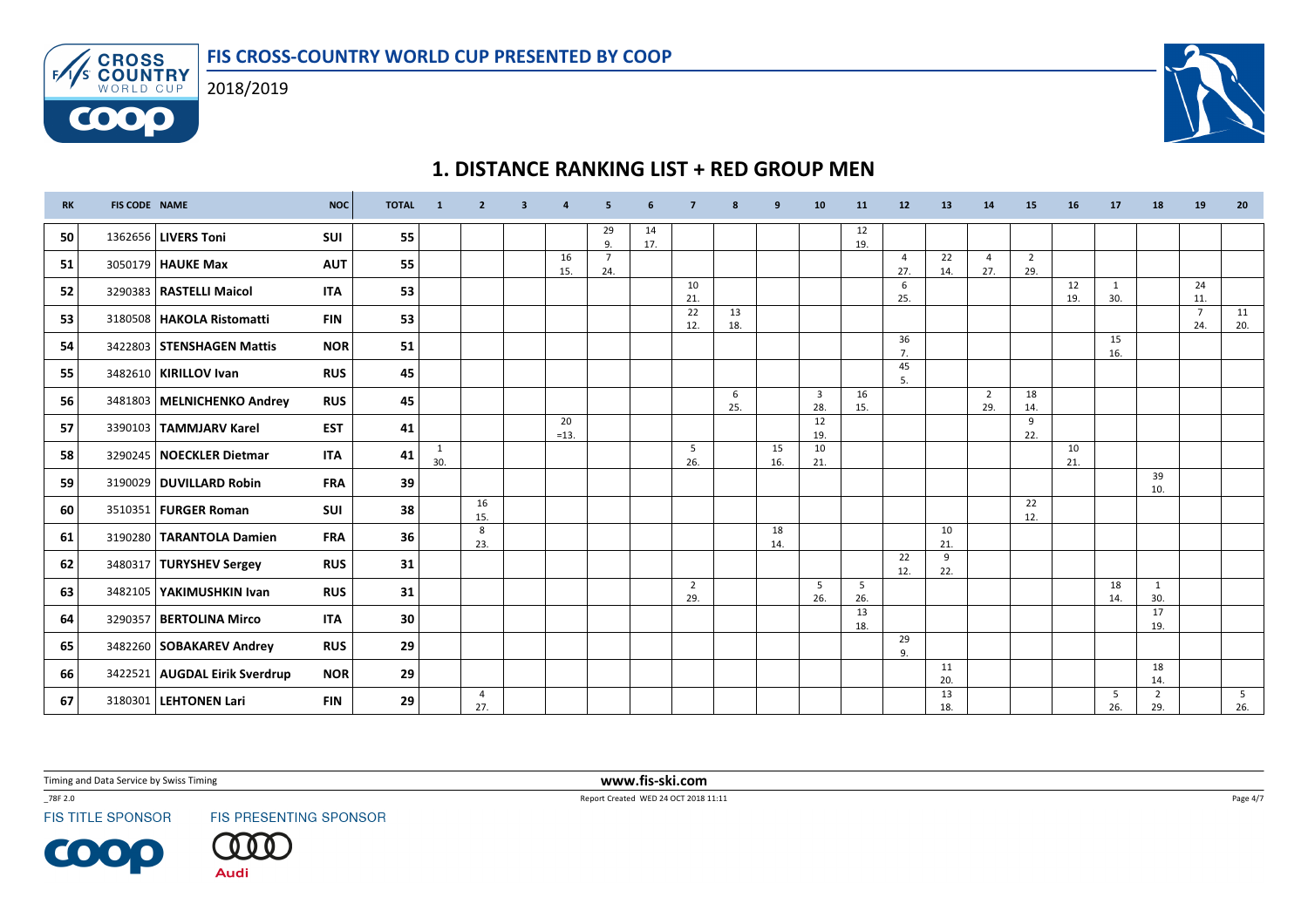



| <b>RK</b> | <b>FIS CODE NAME</b> |                               | <b>NOC</b> | <b>TOTAL</b> | $\mathbf{1}$ | $\overline{2}$        | -3 |              | 5                     | 6         | $\overline{7}$        | -8        | q         | 10                    | 11        | 12                    | 13        | 14                    | 15                    | <b>16</b> | 17        | 18                    | 19                    | 20        |
|-----------|----------------------|-------------------------------|------------|--------------|--------------|-----------------------|----|--------------|-----------------------|-----------|-----------------------|-----------|-----------|-----------------------|-----------|-----------------------|-----------|-----------------------|-----------------------|-----------|-----------|-----------------------|-----------------------|-----------|
| 50        |                      | 1362656   LIVERS Toni         | SUI        | 55           |              |                       |    |              | 29<br>9.              | 14<br>17. |                       |           |           |                       | 12<br>19. |                       |           |                       |                       |           |           |                       |                       |           |
| 51        |                      | 3050179 HAUKE Max             | <b>AUT</b> | 55           |              |                       |    | 16<br>15.    | $\overline{7}$<br>24. |           |                       |           |           |                       |           | $\overline{4}$<br>27. | 22<br>14. | $\overline{4}$<br>27. | $\overline{2}$<br>29. |           |           |                       |                       |           |
| 52        |                      | 3290383   RASTELLI Maicol     | <b>ITA</b> | 53           |              |                       |    |              |                       |           | 10<br>21.             |           |           |                       |           | 6<br>25.              |           |                       |                       | 12<br>19. | 1<br>30.  |                       | 24<br>11.             |           |
| 53        |                      | 3180508   HAKOLA Ristomatti   | <b>FIN</b> | 53           |              |                       |    |              |                       |           | 22<br>12.             | 13<br>18. |           |                       |           |                       |           |                       |                       |           |           |                       | $\overline{7}$<br>24. | 11<br>20. |
| 54        |                      | 3422803 STENSHAGEN Mattis     | <b>NOR</b> | 51           |              |                       |    |              |                       |           |                       |           |           |                       |           | 36<br>7.              |           |                       |                       |           | 15<br>16. |                       |                       |           |
| 55        |                      | 3482610   KIRILLOV Ivan       | <b>RUS</b> | 45           |              |                       |    |              |                       |           |                       |           |           |                       |           | 45<br>5.              |           |                       |                       |           |           |                       |                       |           |
| 56        |                      | 3481803 MELNICHENKO Andrey    | <b>RUS</b> | 45           |              |                       |    |              |                       |           |                       | 6<br>25.  |           | $\overline{3}$<br>28. | 16<br>15. |                       |           | $\overline{2}$<br>29. | 18<br>14.             |           |           |                       |                       |           |
| 57        |                      | 3390103   TAMMJARV Karel      | <b>EST</b> | 41           |              |                       |    | 20<br>$=13.$ |                       |           |                       |           |           | 12<br>19.             |           |                       |           |                       | 9<br>22.              |           |           |                       |                       |           |
| 58        |                      | 3290245   NOECKLER Dietmar    | <b>ITA</b> | 41           | 1<br>30.     |                       |    |              |                       |           | 5<br>26.              |           | 15<br>16. | 10<br>21.             |           |                       |           |                       |                       | 10<br>21. |           |                       |                       |           |
| 59        |                      | 3190029 DUVILLARD Robin       | <b>FRA</b> | 39           |              |                       |    |              |                       |           |                       |           |           |                       |           |                       |           |                       |                       |           |           | 39<br>10.             |                       |           |
| 60        |                      | 3510351   FURGER Roman        | <b>SUI</b> | 38           |              | 16<br>15.             |    |              |                       |           |                       |           |           |                       |           |                       |           |                       | 22<br>12.             |           |           |                       |                       |           |
| 61        |                      | 3190280   TARANTOLA Damien    | <b>FRA</b> | 36           |              | 8<br>23.              |    |              |                       |           |                       |           | 18<br>14. |                       |           |                       | 10<br>21. |                       |                       |           |           |                       |                       |           |
| 62        |                      | 3480317   TURYSHEV Sergey     | <b>RUS</b> | 31           |              |                       |    |              |                       |           |                       |           |           |                       |           | 22<br>12.             | 9<br>22.  |                       |                       |           |           |                       |                       |           |
| 63        |                      | 3482105   YAKIMUSHKIN Ivan    | <b>RUS</b> | 31           |              |                       |    |              |                       |           | $\overline{2}$<br>29. |           |           | 5<br>26.              | 5<br>26.  |                       |           |                       |                       |           | 18<br>14. | 1<br>30.              |                       |           |
| 64        |                      | 3290357 BERTOLINA Mirco       | <b>ITA</b> | 30           |              |                       |    |              |                       |           |                       |           |           |                       | 13<br>18. |                       |           |                       |                       |           |           | 17<br>19.             |                       |           |
| 65        |                      | 3482260   SOBAKAREV Andrey    | <b>RUS</b> | 29           |              |                       |    |              |                       |           |                       |           |           |                       |           | 29<br>9.              |           |                       |                       |           |           |                       |                       |           |
| 66        |                      | 3422521 AUGDAL Eirik Sverdrup | <b>NOR</b> | 29           |              |                       |    |              |                       |           |                       |           |           |                       |           |                       | 11<br>20. |                       |                       |           |           | 18<br>14.             |                       |           |
| 67        |                      | 3180301   LEHTONEN Lari       | <b>FIN</b> | 29           |              | $\overline{4}$<br>27. |    |              |                       |           |                       |           |           |                       |           |                       | 13<br>18. |                       |                       |           | -5<br>26. | $\overline{2}$<br>29. |                       | 5<br>26.  |

# 1. DISTANCE RANKING LIST + RED GROUP MEN

Timing and Data Service by Swiss Timing

\_78F 2.0

 $F$ 

WORLD CUP

**FIS TITLE SPONSOR** 

COOP

FIS PRESENTING SPONSOR

**Audi** 

 www.fis-ski.comReport Created WED 24 OCT 2018 11:11

Page 4/7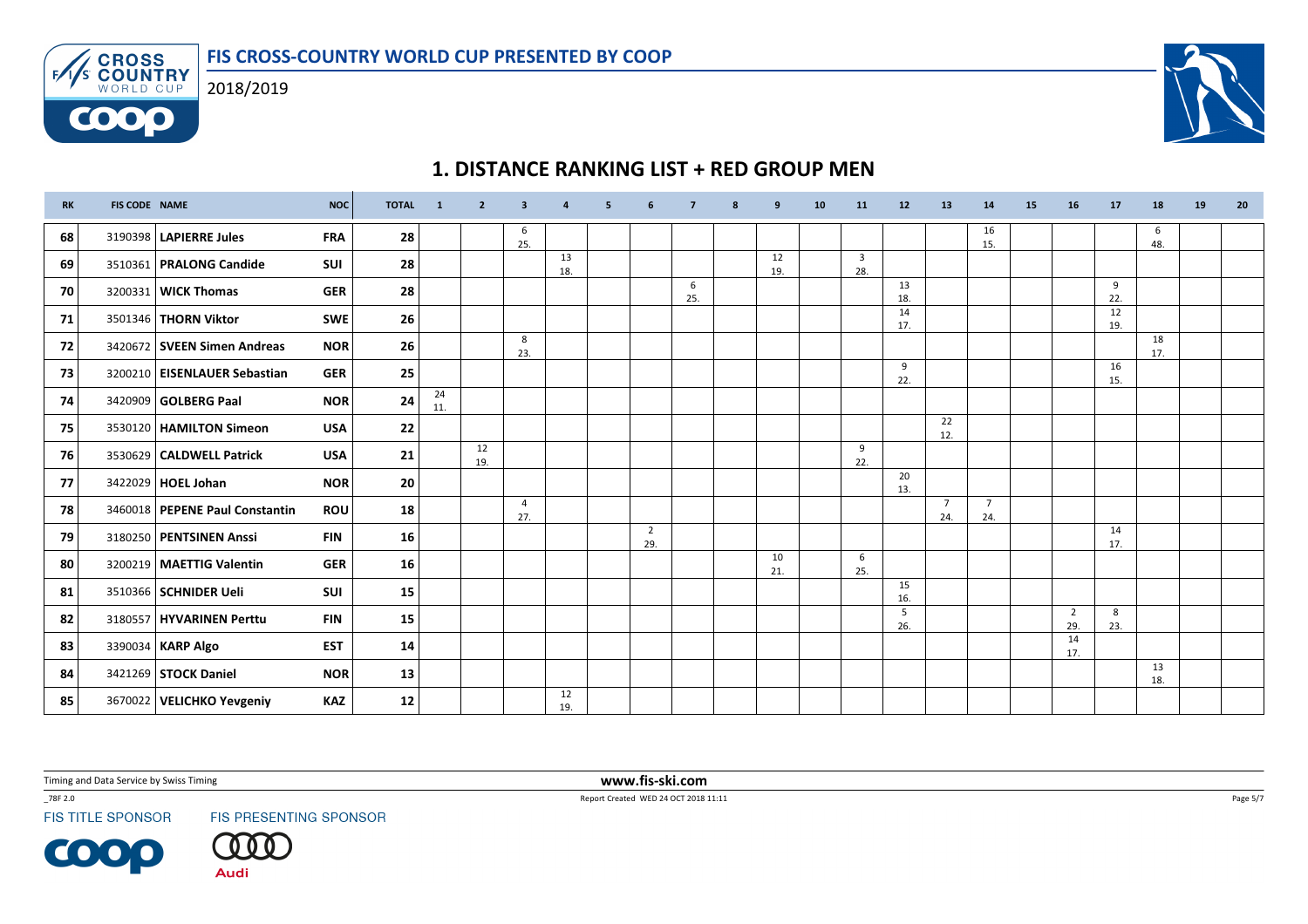



# 1. DISTANCE RANKING LIST + RED GROUP MEN

| <b>RK</b> | FIS CODE NAME |                                  | <b>NOC</b> | <b>TOTAL</b> | $\blacksquare$ | $\overline{2}$ | 3                     |           | -5 | -6                    |          | 8 | 9         | 10 | 11                    | 12        | 13                    | 14                    | <b>15</b> | 16        | 17        | 18        | 19 | 20 |
|-----------|---------------|----------------------------------|------------|--------------|----------------|----------------|-----------------------|-----------|----|-----------------------|----------|---|-----------|----|-----------------------|-----------|-----------------------|-----------------------|-----------|-----------|-----------|-----------|----|----|
| 68        |               | 3190398   LAPIERRE Jules         | <b>FRA</b> | 28           |                |                | 6<br>25.              |           |    |                       |          |   |           |    |                       |           |                       | 16<br>15.             |           |           |           | 6<br>48.  |    |    |
| 69        |               | 3510361   PRALONG Candide        | <b>SUI</b> | 28           |                |                |                       | 13<br>18. |    |                       |          |   | 12<br>19. |    | $\overline{3}$<br>28. |           |                       |                       |           |           |           |           |    |    |
| 70        |               | 3200331 WICK Thomas              | <b>GER</b> | 28           |                |                |                       |           |    |                       | 6<br>25. |   |           |    |                       | 13<br>18. |                       |                       |           |           | 9<br>22.  |           |    |    |
| 71        |               | 3501346   THORN Viktor           | <b>SWE</b> | 26           |                |                |                       |           |    |                       |          |   |           |    |                       | 14<br>17. |                       |                       |           |           | 12<br>19. |           |    |    |
| 72        |               | 3420672 SVEEN Simen Andreas      | <b>NOR</b> | 26           |                |                | 8<br>23.              |           |    |                       |          |   |           |    |                       |           |                       |                       |           |           |           | 18<br>17. |    |    |
| 73        |               | 3200210   EISENLAUER Sebastian   | <b>GER</b> | 25           |                |                |                       |           |    |                       |          |   |           |    |                       | 9<br>22.  |                       |                       |           |           | 16<br>15. |           |    |    |
| 74        |               | 3420909 GOLBERG Paal             | <b>NOR</b> | 24           | 24<br>11.      |                |                       |           |    |                       |          |   |           |    |                       |           |                       |                       |           |           |           |           |    |    |
| 75        |               | 3530120   HAMILTON Simeon        | <b>USA</b> | 22           |                |                |                       |           |    |                       |          |   |           |    |                       |           | 22<br>12.             |                       |           |           |           |           |    |    |
| 76        |               | 3530629   CALDWELL Patrick       | <b>USA</b> | 21           |                | 12<br>19.      |                       |           |    |                       |          |   |           |    | 9<br>22.              |           |                       |                       |           |           |           |           |    |    |
| 77        |               | 3422029 HOEL Johan               | <b>NOR</b> | 20           |                |                |                       |           |    |                       |          |   |           |    |                       | 20<br>13. |                       |                       |           |           |           |           |    |    |
| 78        |               | 3460018   PEPENE Paul Constantin | <b>ROU</b> | 18           |                |                | $\overline{4}$<br>27. |           |    |                       |          |   |           |    |                       |           | $\overline{7}$<br>24. | $\overline{7}$<br>24. |           |           |           |           |    |    |
| 79        |               | 3180250 PENTSINEN Anssi          | <b>FIN</b> | 16           |                |                |                       |           |    | $\overline{2}$<br>29. |          |   |           |    |                       |           |                       |                       |           |           | 14<br>17. |           |    |    |
| 80        |               | 3200219   MAETTIG Valentin       | <b>GER</b> | 16           |                |                |                       |           |    |                       |          |   | 10<br>21. |    | 6<br>25.              |           |                       |                       |           |           |           |           |    |    |
| 81        |               | 3510366   SCHNIDER Ueli          | SUI        | 15           |                |                |                       |           |    |                       |          |   |           |    |                       | 15<br>16. |                       |                       |           |           |           |           |    |    |
| 82        |               | 3180557   HYVARINEN Perttu       | <b>FIN</b> | 15           |                |                |                       |           |    |                       |          |   |           |    |                       | 5<br>26.  |                       |                       |           | 2<br>29.  | 8<br>23.  |           |    |    |
| 83        |               | 3390034   KARP Algo              | <b>EST</b> | 14           |                |                |                       |           |    |                       |          |   |           |    |                       |           |                       |                       |           | 14<br>17. |           |           |    |    |
| 84        |               | 3421269 STOCK Daniel             | <b>NOR</b> | 13           |                |                |                       |           |    |                       |          |   |           |    |                       |           |                       |                       |           |           |           | 13<br>18. |    |    |
| 85        |               | 3670022 VELICHKO Yevgeniy        | KAZ        | 12           |                |                |                       | 12<br>19. |    |                       |          |   |           |    |                       |           |                       |                       |           |           |           |           |    |    |

Timing and Data Service by Swiss Timing

\_78F 2.0

**FIS TITLE SPONSOR** 

**COOP** 

FIS PRESENTING SPONSOR

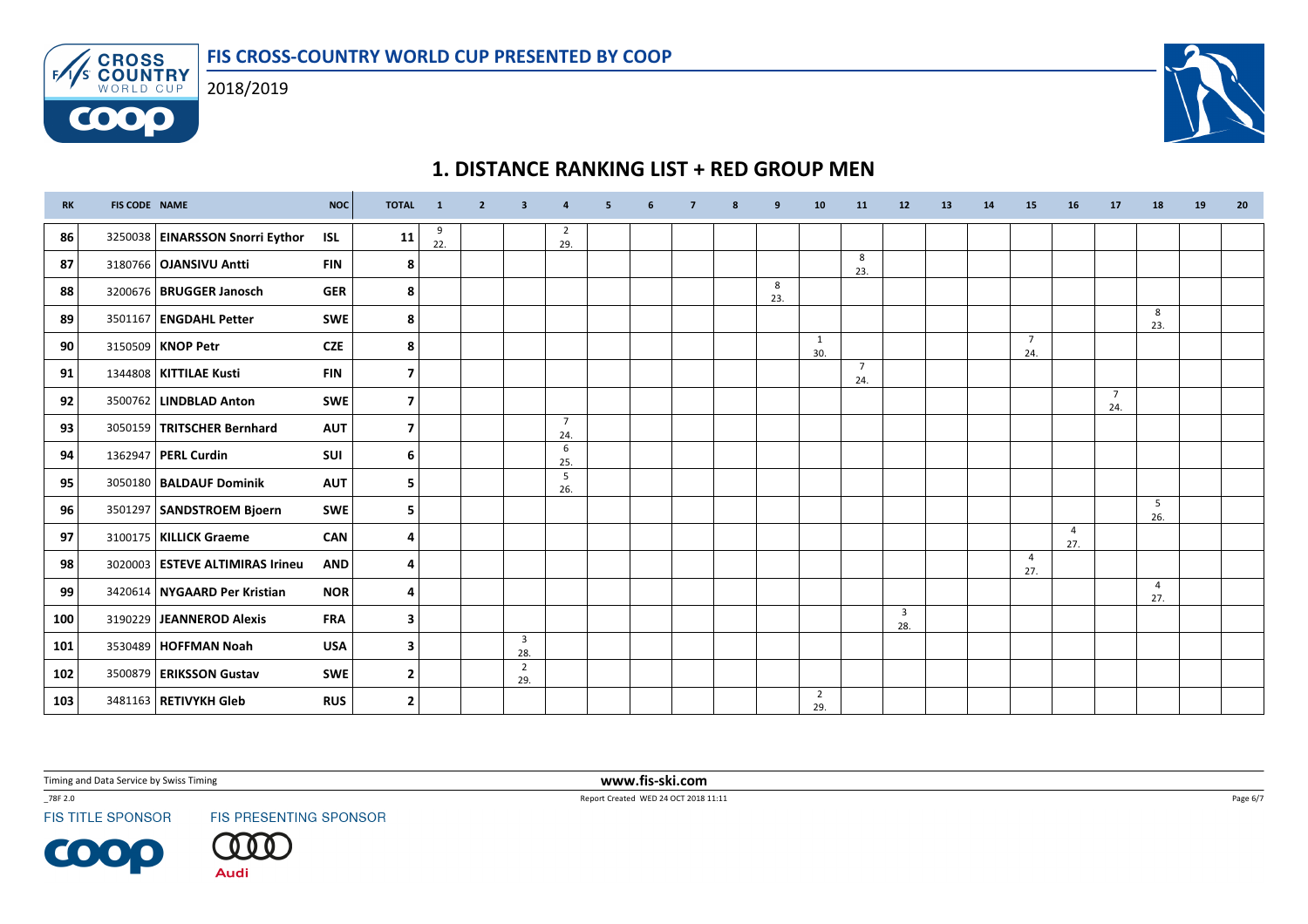



# 1. DISTANCE RANKING LIST + RED GROUP MEN

| <b>RK</b> | <b>FIS CODE NAME</b> |                                   | <b>NOC</b> | <b>TOTAL</b>            | $\mathbf{1}$ | $\overline{2}$ | $\overline{\mathbf{3}}$        | $\overline{a}$        | 5 | 6 | $\overline{7}$ | 8 | q        | 10                    | 11                    | 12                             | 13 | 14 | 15                    | 16                    | 17                    | 18                    | 19 | 20 |
|-----------|----------------------|-----------------------------------|------------|-------------------------|--------------|----------------|--------------------------------|-----------------------|---|---|----------------|---|----------|-----------------------|-----------------------|--------------------------------|----|----|-----------------------|-----------------------|-----------------------|-----------------------|----|----|
| 86        |                      | 3250038   EINARSSON Snorri Eythor | <b>ISL</b> | 11                      | 9<br>22.     |                |                                | $\overline{2}$<br>29. |   |   |                |   |          |                       |                       |                                |    |    |                       |                       |                       |                       |    |    |
| 87        |                      | 3180766   OJANSIVU Antti          | <b>FIN</b> | 8                       |              |                |                                |                       |   |   |                |   |          |                       | 8<br>23.              |                                |    |    |                       |                       |                       |                       |    |    |
| 88        |                      | 3200676   BRUGGER Janosch         | <b>GER</b> | 8                       |              |                |                                |                       |   |   |                |   | 8<br>23. |                       |                       |                                |    |    |                       |                       |                       |                       |    |    |
| 89        |                      | 3501167   ENGDAHL Petter          | <b>SWE</b> | 8                       |              |                |                                |                       |   |   |                |   |          |                       |                       |                                |    |    |                       |                       |                       | 8<br>23.              |    |    |
| 90        |                      | 3150509   KNOP Petr               | <b>CZE</b> | 8                       |              |                |                                |                       |   |   |                |   |          | 1<br>30.              |                       |                                |    |    | $\overline{7}$<br>24. |                       |                       |                       |    |    |
| 91        |                      | 1344808   KITTILAE Kusti          | <b>FIN</b> | $\overline{ }$          |              |                |                                |                       |   |   |                |   |          |                       | $\overline{7}$<br>24. |                                |    |    |                       |                       |                       |                       |    |    |
| 92        |                      | 3500762   LINDBLAD Anton          | <b>SWE</b> | 7                       |              |                |                                |                       |   |   |                |   |          |                       |                       |                                |    |    |                       |                       | $\overline{7}$<br>24. |                       |    |    |
| 93        |                      | 3050159   TRITSCHER Bernhard      | <b>AUT</b> | $\overline{\mathbf{z}}$ |              |                |                                | $\overline{7}$<br>24. |   |   |                |   |          |                       |                       |                                |    |    |                       |                       |                       |                       |    |    |
| 94        |                      | 1362947   PERL Curdin             | SUI        | 6                       |              |                |                                | 6<br>25.              |   |   |                |   |          |                       |                       |                                |    |    |                       |                       |                       |                       |    |    |
| 95        |                      | 3050180   BALDAUF Dominik         | <b>AUT</b> | 5                       |              |                |                                | 5<br>26.              |   |   |                |   |          |                       |                       |                                |    |    |                       |                       |                       |                       |    |    |
| 96        |                      | 3501297 SANDSTROEM Bjoern         | <b>SWE</b> | 5                       |              |                |                                |                       |   |   |                |   |          |                       |                       |                                |    |    |                       |                       |                       | 5<br>26.              |    |    |
| 97        |                      | 3100175   KILLICK Graeme          | <b>CAN</b> | 4                       |              |                |                                |                       |   |   |                |   |          |                       |                       |                                |    |    |                       | $\overline{4}$<br>27. |                       |                       |    |    |
| 98        |                      | 3020003 ESTEVE ALTIMIRAS Irineu   | <b>AND</b> | 4                       |              |                |                                |                       |   |   |                |   |          |                       |                       |                                |    |    | $\overline{4}$<br>27. |                       |                       |                       |    |    |
| 99        |                      | 3420614   NYGAARD Per Kristian    | <b>NOR</b> | 4                       |              |                |                                |                       |   |   |                |   |          |                       |                       |                                |    |    |                       |                       |                       | $\overline{4}$<br>27. |    |    |
| 100       |                      | 3190229 JEANNEROD Alexis          | <b>FRA</b> | 3                       |              |                |                                |                       |   |   |                |   |          |                       |                       | $\overline{\mathbf{3}}$<br>28. |    |    |                       |                       |                       |                       |    |    |
| 101       |                      | 3530489   HOFFMAN Noah            | <b>USA</b> | 3                       |              |                | $\overline{\mathbf{3}}$<br>28. |                       |   |   |                |   |          |                       |                       |                                |    |    |                       |                       |                       |                       |    |    |
| 102       |                      | 3500879   ERIKSSON Gustav         | <b>SWE</b> | $\overline{\mathbf{2}}$ |              |                | $\overline{2}$<br>29.          |                       |   |   |                |   |          |                       |                       |                                |    |    |                       |                       |                       |                       |    |    |
| 103       |                      | 3481163   RETIVYKH Gleb           | <b>RUS</b> | $\overline{\mathbf{2}}$ |              |                |                                |                       |   |   |                |   |          | $\overline{2}$<br>29. |                       |                                |    |    |                       |                       |                       |                       |    |    |

Timing and Data Service by Swiss Timing

\_78F 2.0

**FIS TITLE SPONSOR** 

**COOP** 

FIS PRESENTING SPONSOR